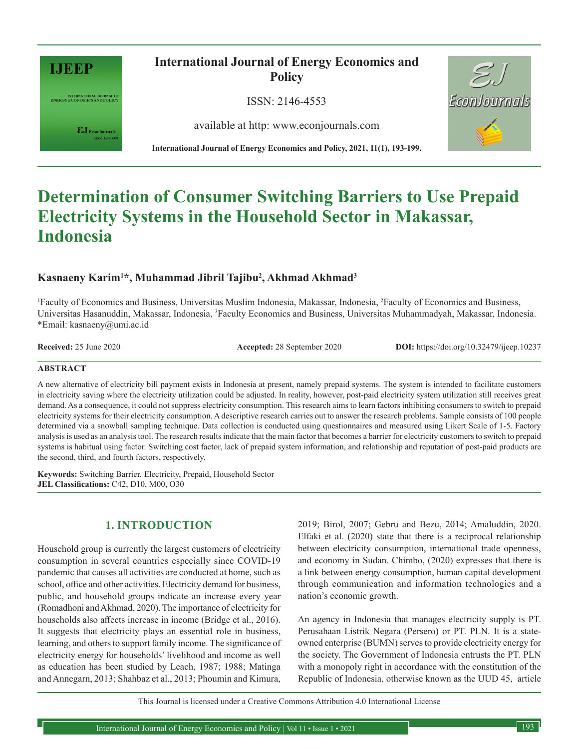

INTERNATIONAL JOURNAL OF<br>ENERGY ECONOMICS AND POLICY

 $\pmb{\varepsilon} \mathbf{J}_{\text{\tiny{EconJournals}}}$ 

**International Journal of Energy Economics and Policy**

ISSN: 2146-4553

available at http: www.econjournals.com

**International Journal of Energy Economics and Policy, 2021, 11(1), 193-199.**



# **Determination of Consumer Switching Barriers to Use Prepaid Electricity Systems in the Household Sector in Makassar, Indonesia**

# **Kasnaeny Karim1 \*, Muhammad Jibril Tajibu2 , Akhmad Akhmad3**

<sup>1</sup>Faculty of Economics and Business, Universitas Muslim Indonesia, Makassar, Indonesia, <sup>2</sup>Faculty of Economics and Business, Universitas Hasanuddin, Makassar, Indonesia, <sup>3</sup>Faculty Economics and Business, Universitas Muhammadyah, Makassar, Indonesia. \*Email: kasnaeny@umi.ac.id

**Received:** 25 June 2020 **Accepted:** 28 September 2020 **DOI:** https://doi.org/10.32479/ijeep.10237

#### **ABSTRACT**

A new alternative of electricity bill payment exists in Indonesia at present, namely prepaid systems. The system is intended to facilitate customers in electricity saving where the electricity utilization could be adjusted. In reality, however, post-paid electricity system utilization still receives great demand. As a consequence, it could not suppress electricity consumption. This research aims to learn factors inhibiting consumers to switch to prepaid electricity systems for their electricity consumption. A descriptive research carries out to answer the research problems. Sample consists of 100 people determined via a snowball sampling technique. Data collection is conducted using questionnaires and measured using Likert Scale of 1-5. Factory analysis is used as an analysis tool. The research results indicate that the main factor that becomes a barrier for electricity customers to switch to prepaid systems is habitual using factor. Switching cost factor, lack of prepaid system information, and relationship and reputation of post-paid products are the second, third, and fourth factors, respectively.

**Keywords:** Switching Barrier, Electricity, Prepaid, Household Sector **JEL Classifications:** C42, D10, M00, O30

# **1. INTRODUCTION**

Household group is currently the largest customers of electricity consumption in several countries especially since COVID-19 pandemic that causes all activities are conducted at home, such as school, office and other activities. Electricity demand for business, public, and household groups indicate an increase every year (Romadhoni and Akhmad, 2020). The importance of electricity for households also affects increase in income (Bridge et al., 2016). It suggests that electricity plays an essential role in business, learning, and others to support family income. The significance of electricity energy for households' livelihood and income as well as education has been studied by Leach, 1987; 1988; Matinga and Annegarn, 2013; Shahbaz et al., 2013; Phoumin and Kimura,

2019; Birol, 2007; Gebru and Bezu, 2014; Amaluddin, 2020. Elfaki et al. (2020) state that there is a reciprocal relationship between electricity consumption, international trade openness, and economy in Sudan. Chimbo, (2020) expresses that there is a link between energy consumption, human capital development through communication and information technologies and a nation's economic growth.

An agency in Indonesia that manages electricity supply is PT. Perusahaan Listrik Negara (Persero) or PT. PLN. It is a stateowned enterprise (BUMN) serves to provide electricity energy for the society. The Government of Indonesia entrusts the PT. PLN with a monopoly right in accordance with the constitution of the Republic of Indonesia, otherwise known as the UUD 45, article

This Journal is licensed under a Creative Commons Attribution 4.0 International License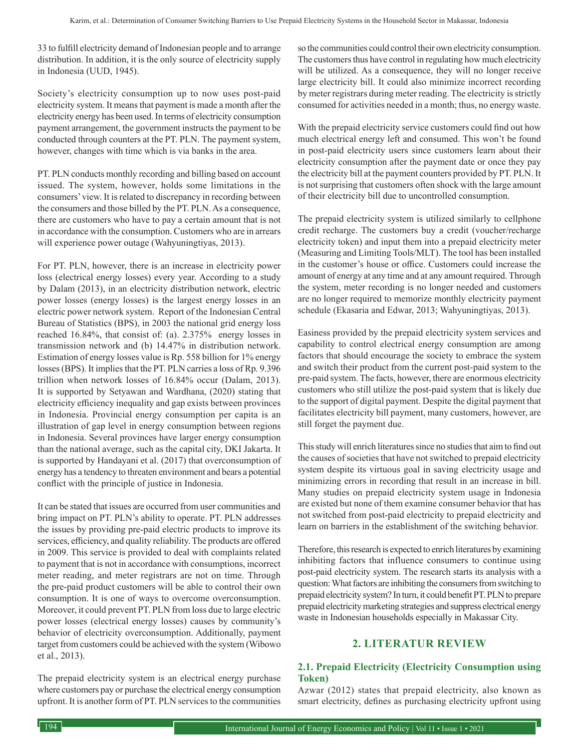33 to fulfill electricity demand of Indonesian people and to arrange distribution. In addition, it is the only source of electricity supply in Indonesia (UUD, 1945).

Society's electricity consumption up to now uses post-paid electricity system. It means that payment is made a month after the electricity energy has been used. In terms of electricity consumption payment arrangement, the government instructs the payment to be conducted through counters at the PT. PLN. The payment system, however, changes with time which is via banks in the area.

PT. PLN conducts monthly recording and billing based on account issued. The system, however, holds some limitations in the consumers' view. It is related to discrepancy in recording between the consumers and those billed by the PT. PLN. As a consequence, there are customers who have to pay a certain amount that is not in accordance with the consumption. Customers who are in arrears will experience power outage (Wahyuningtiyas, 2013).

For PT. PLN, however, there is an increase in electricity power loss (electrical energy losses) every year. According to a study by Dalam (2013), in an electricity distribution network, electric power losses (energy losses) is the largest energy losses in an electric power network system. Report of the Indonesian Central Bureau of Statistics (BPS), in 2003 the national grid energy loss reached 16.84%, that consist of: (a). 2.375% energy losses in transmission network and (b) 14.47% in distribution network. Estimation of energy losses value is Rp. 558 billion for 1% energy losses (BPS). It implies that the PT. PLN carries a loss of Rp. 9.396 trillion when network losses of 16.84% occur (Dalam, 2013). It is supported by Setyawan and Wardhana, (2020) stating that electricity efficiency inequality and gap exists between provinces in Indonesia. Provincial energy consumption per capita is an illustration of gap level in energy consumption between regions in Indonesia. Several provinces have larger energy consumption than the national average, such as the capital city, DKI Jakarta. It is supported by Handayani et al. (2017) that overconsumption of energy has a tendency to threaten environment and bears a potential conflict with the principle of justice in Indonesia.

It can be stated that issues are occurred from user communities and bring impact on PT. PLN's ability to operate. PT. PLN addresses the issues by providing pre-paid electric products to improve its services, efficiency, and quality reliability. The products are offered in 2009. This service is provided to deal with complaints related to payment that is not in accordance with consumptions, incorrect meter reading, and meter registrars are not on time. Through the pre-paid product customers will be able to control their own consumption. It is one of ways to overcome overconsumption. Moreover, it could prevent PT. PLN from loss due to large electric power losses (electrical energy losses) causes by community's behavior of electricity overconsumption. Additionally, payment target from customers could be achieved with the system (Wibowo et al., 2013).

The prepaid electricity system is an electrical energy purchase where customers pay or purchase the electrical energy consumption upfront. It is another form of PT. PLN services to the communities so the communities could control their own electricity consumption. The customers thus have control in regulating how much electricity will be utilized. As a consequence, they will no longer receive large electricity bill. It could also minimize incorrect recording by meter registrars during meter reading. The electricity is strictly consumed for activities needed in a month; thus, no energy waste.

With the prepaid electricity service customers could find out how much electrical energy left and consumed. This won't be found in post-paid electricity users since customers learn about their electricity consumption after the payment date or once they pay the electricity bill at the payment counters provided by PT. PLN. It is not surprising that customers often shock with the large amount of their electricity bill due to uncontrolled consumption.

The prepaid electricity system is utilized similarly to cellphone credit recharge. The customers buy a credit (voucher/recharge electricity token) and input them into a prepaid electricity meter (Measuring and Limiting Tools/MLT). The tool has been installed in the customer's house or office. Customers could increase the amount of energy at any time and at any amount required. Through the system, meter recording is no longer needed and customers are no longer required to memorize monthly electricity payment schedule (Ekasaria and Edwar, 2013; Wahyuningtiyas, 2013).

Easiness provided by the prepaid electricity system services and capability to control electrical energy consumption are among factors that should encourage the society to embrace the system and switch their product from the current post-paid system to the pre-paid system. The facts, however, there are enormous electricity customers who still utilize the post-paid system that is likely due to the support of digital payment. Despite the digital payment that facilitates electricity bill payment, many customers, however, are still forget the payment due.

This study will enrich literatures since no studies that aim to find out the causes of societies that have not switched to prepaid electricity system despite its virtuous goal in saving electricity usage and minimizing errors in recording that result in an increase in bill. Many studies on prepaid electricity system usage in Indonesia are existed but none of them examine consumer behavior that has not switched from post-paid electricity to prepaid electricity and learn on barriers in the establishment of the switching behavior.

Therefore, this research is expected to enrich literatures by examining inhibiting factors that influence consumers to continue using post-paid electricity system. The research starts its analysis with a question: What factors are inhibiting the consumers from switching to prepaid electricity system? In turn, it could benefit PT. PLN to prepare prepaid electricity marketing strategies and suppress electrical energy waste in Indonesian households especially in Makassar City.

# **2. LITERATUR REVIEW**

## **2.1. Prepaid Electricity (Electricity Consumption using Token)**

Azwar (2012) states that prepaid electricity, also known as smart electricity, defines as purchasing electricity upfront using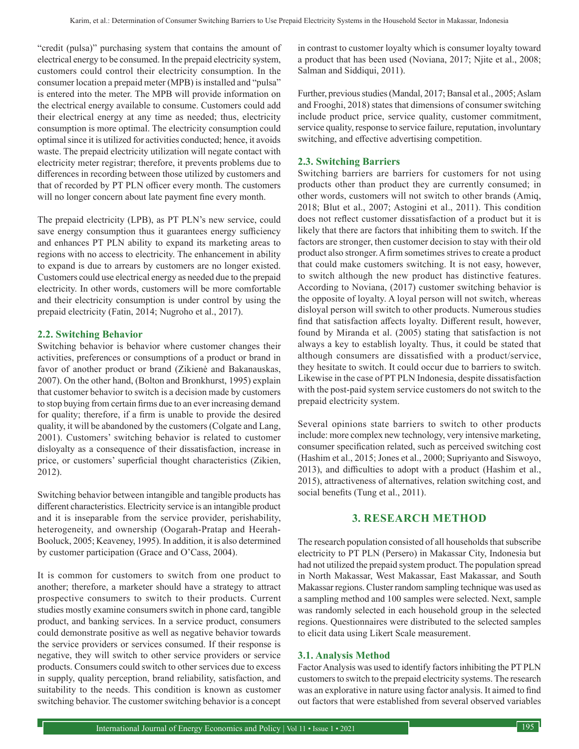"credit (pulsa)" purchasing system that contains the amount of electrical energy to be consumed. In the prepaid electricity system, customers could control their electricity consumption. In the consumer location a prepaid meter (MPB) is installed and "pulsa" is entered into the meter. The MPB will provide information on the electrical energy available to consume. Customers could add their electrical energy at any time as needed; thus, electricity consumption is more optimal. The electricity consumption could optimal since it is utilized for activities conducted; hence, it avoids waste. The prepaid electricity utilization will negate contact with electricity meter registrar; therefore, it prevents problems due to differences in recording between those utilized by customers and that of recorded by PT PLN officer every month. The customers will no longer concern about late payment fine every month.

The prepaid electricity (LPB), as PT PLN's new service, could save energy consumption thus it guarantees energy sufficiency and enhances PT PLN ability to expand its marketing areas to regions with no access to electricity. The enhancement in ability to expand is due to arrears by customers are no longer existed. Customers could use electrical energy as needed due to the prepaid electricity. In other words, customers will be more comfortable and their electricity consumption is under control by using the prepaid electricity (Fatin, 2014; Nugroho et al., 2017).

#### **2.2. Switching Behavior**

Switching behavior is behavior where customer changes their activities, preferences or consumptions of a product or brand in favor of another product or brand (Zikienė and Bakanauskas, 2007). On the other hand, (Bolton and Bronkhurst, 1995) explain that customer behavior to switch is a decision made by customers to stop buying from certain firms due to an ever increasing demand for quality; therefore, if a firm is unable to provide the desired quality, it will be abandoned by the customers (Colgate and Lang, 2001). Customers' switching behavior is related to customer disloyalty as a consequence of their dissatisfaction, increase in price, or customers' superficial thought characteristics (Zikien, 2012).

Switching behavior between intangible and tangible products has different characteristics. Electricity service is an intangible product and it is inseparable from the service provider, perishability, heterogeneity, and ownership (Oogarah-Pratap and Heerah-Booluck, 2005; Keaveney, 1995). In addition, it is also determined by customer participation (Grace and O'Cass, 2004).

It is common for customers to switch from one product to another; therefore, a marketer should have a strategy to attract prospective consumers to switch to their products. Current studies mostly examine consumers switch in phone card, tangible product, and banking services. In a service product, consumers could demonstrate positive as well as negative behavior towards the service providers or services consumed. If their response is negative, they will switch to other service providers or service products. Consumers could switch to other services due to excess in supply, quality perception, brand reliability, satisfaction, and suitability to the needs. This condition is known as customer switching behavior. The customer switching behavior is a concept

in contrast to customer loyalty which is consumer loyalty toward a product that has been used (Noviana, 2017; Njite et al., 2008; Salman and Siddiqui, 2011).

Further, previous studies (Mandal, 2017; Bansal et al., 2005; Aslam and Frooghi, 2018) states that dimensions of consumer switching include product price, service quality, customer commitment, service quality, response to service failure, reputation, involuntary switching, and effective advertising competition.

#### **2.3. Switching Barriers**

Switching barriers are barriers for customers for not using products other than product they are currently consumed; in other words, customers will not switch to other brands (Amiq, 2018; Blut et al., 2007; Astogini et al., 2011). This condition does not reflect customer dissatisfaction of a product but it is likely that there are factors that inhibiting them to switch. If the factors are stronger, then customer decision to stay with their old product also stronger. A firm sometimes strives to create a product that could make customers switching. It is not easy, however, to switch although the new product has distinctive features. According to Noviana, (2017) customer switching behavior is the opposite of loyalty. A loyal person will not switch, whereas disloyal person will switch to other products. Numerous studies find that satisfaction affects loyalty. Different result, however, found by Miranda et al. (2005) stating that satisfaction is not always a key to establish loyalty. Thus, it could be stated that although consumers are dissatisfied with a product/service, they hesitate to switch. It could occur due to barriers to switch. Likewise in the case of PT PLN Indonesia, despite dissatisfaction with the post-paid system service customers do not switch to the prepaid electricity system.

Several opinions state barriers to switch to other products include: more complex new technology, very intensive marketing, consumer specification related, such as perceived switching cost (Hashim et al., 2015; Jones et al., 2000; Supriyanto and Siswoyo, 2013), and difficulties to adopt with a product (Hashim et al., 2015), attractiveness of alternatives, relation switching cost, and social benefits (Tung et al., 2011).

## **3. RESEARCH METHOD**

The research population consisted of all households that subscribe electricity to PT PLN (Persero) in Makassar City, Indonesia but had not utilized the prepaid system product. The population spread in North Makassar, West Makassar, East Makassar, and South Makassar regions. Cluster random sampling technique was used as a sampling method and 100 samples were selected. Next, sample was randomly selected in each household group in the selected regions. Questionnaires were distributed to the selected samples to elicit data using Likert Scale measurement.

#### **3.1. Analysis Method**

Factor Analysis was used to identify factors inhibiting the PT PLN customers to switch to the prepaid electricity systems. The research was an explorative in nature using factor analysis. It aimed to find out factors that were established from several observed variables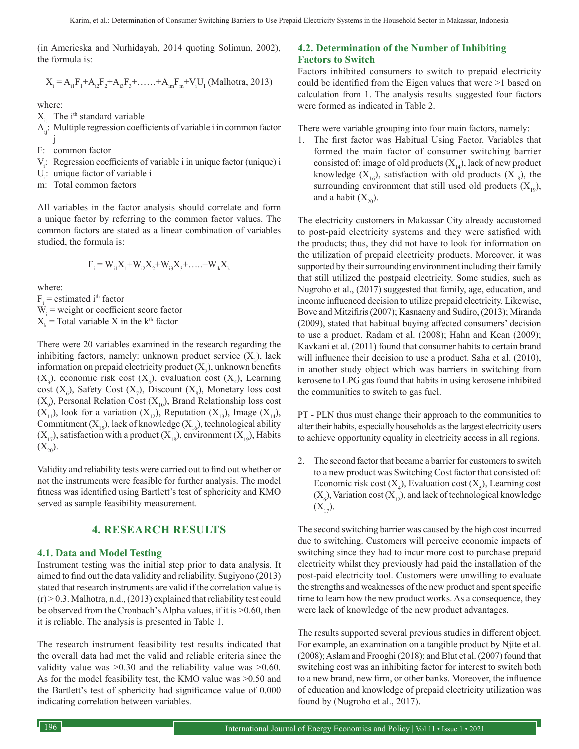(in Amerieska and Nurhidayah, 2014 quoting Solimun, 2002), the formula is:

$$
X_{i} = A_{i1}F_{1} + A_{i2}F_{2} + A_{i3}F_{3} + \dots + A_{im}F_{m} + V_{i}U_{I}
$$
 (Malhotra, 2013)

where:

 $X_i$ . The i<sup>th</sup> standard variable

A<sub>ii</sub>: Multiple regression coefficients of variable i in common factor j

- F: common factor
- $V_i$ : Regression coefficients of variable i in unique factor (unique) i
- $U_i$ : unique factor of variable i
- m: Total common factors

All variables in the factor analysis should correlate and form a unique factor by referring to the common factor values. The common factors are stated as a linear combination of variables studied, the formula is:

$$
\mathbf{F}_{i} = \mathbf{W}_{i1} \mathbf{X}_{1} + \mathbf{W}_{i2} \mathbf{X}_{2} + \mathbf{W}_{i3} \mathbf{X}_{3} + \dots + \mathbf{W}_{ik} \mathbf{X}_{k}
$$

where:

 $F_i$  = estimated i<sup>th</sup> factor  $W_i$  = weight or coefficient score factor  $X_k$  = Total variable X in the k<sup>th</sup> factor

There were 20 variables examined in the research regarding the inhibiting factors, namely: unknown product service  $(X_1)$ , lack information on prepaid electricity product  $(X_2)$ , unknown benefits  $(X_3)$ , economic risk cost  $(X_4)$ , evaluation cost  $(X_5)$ , Learning  $cost(X_6)$ , Safety Cost  $(X_7)$ , Discount  $(X_8)$ , Monetary loss cost  $(X_9)$ , Personal Relation Cost  $(X_{10})$ , Brand Relationship loss cost  $(X_{11})$ , look for a variation  $(X_{12})$ , Reputation  $(X_{13})$ , Image  $(X_{14})$ , Commitment  $(X_{15})$ , lack of knowledge  $(X_{16})$ , technological ability  $(X_{17})$ , satisfaction with a product  $(X_{18})$ , environment  $(X_{19})$ , Habits  $(X_{20}).$ 

Validity and reliability tests were carried out to find out whether or not the instruments were feasible for further analysis. The model fitness was identified using Bartlett's test of sphericity and KMO served as sample feasibility measurement.

## **4. RESEARCH RESULTS**

#### **4.1. Data and Model Testing**

Instrument testing was the initial step prior to data analysis. It aimed to find out the data validity and reliability. Sugiyono (2013) stated that research instruments are valid if the correlation value is  $(r)$  > 0.3. Malhotra, n.d., (2013) explained that reliability test could be observed from the Cronbach's Alpha values, if it is >0.60, then it is reliable. The analysis is presented in Table 1.

The research instrument feasibility test results indicated that the overall data had met the valid and reliable criteria since the validity value was >0.30 and the reliability value was >0.60. As for the model feasibility test, the KMO value was >0.50 and the Bartlett's test of sphericity had significance value of 0.000 indicating correlation between variables.

#### **4.2. Determination of the Number of Inhibiting Factors to Switch**

Factors inhibited consumers to switch to prepaid electricity could be identified from the Eigen values that were >1 based on calculation from 1. The analysis results suggested four factors were formed as indicated in Table 2.

There were variable grouping into four main factors, namely:

1. The first factor was Habitual Using Factor. Variables that formed the main factor of consumer switching barrier consisted of: image of old products  $(X_{14})$ , lack of new product knowledge  $(X_{16})$ , satisfaction with old products  $(X_{18})$ , the surrounding environment that still used old products  $(X_{19})$ , and a habit  $(X_{20})$ .

The electricity customers in Makassar City already accustomed to post-paid electricity systems and they were satisfied with the products; thus, they did not have to look for information on the utilization of prepaid electricity products. Moreover, it was supported by their surrounding environment including their family that still utilized the postpaid electricity. Some studies, such as Nugroho et al., (2017) suggested that family, age, education, and income influenced decision to utilize prepaid electricity. Likewise, Bove and Mitzifiris (2007); Kasnaeny and Sudiro, (2013); Miranda (2009), stated that habitual buying affected consumers' decision to use a product. Radam et al. (2008); Hahn and Kean (2009); Kavkani et al. (2011) found that consumer habits to certain brand will influence their decision to use a product. Saha et al. (2010), in another study object which was barriers in switching from kerosene to LPG gas found that habits in using kerosene inhibited the communities to switch to gas fuel.

PT - PLN thus must change their approach to the communities to alter their habits, especially households as the largest electricity users to achieve opportunity equality in electricity access in all regions.

2. The second factor that became a barrier for customers to switch to a new product was Switching Cost factor that consisted of: Economic risk cost  $(X_4)$ , Evaluation cost  $(X_5)$ , Learning cost  $(X_6)$ , Variation cost  $(X_{12})$ , and lack of technological knowledge  $(X_{17})$ .

The second switching barrier was caused by the high cost incurred due to switching. Customers will perceive economic impacts of switching since they had to incur more cost to purchase prepaid electricity whilst they previously had paid the installation of the post-paid electricity tool. Customers were unwilling to evaluate the strengths and weaknesses of the new product and spent specific time to learn how the new product works. As a consequence, they were lack of knowledge of the new product advantages.

The results supported several previous studies in different object. For example, an examination on a tangible product by Njite et al. (2008); Aslam and Frooghi (2018); and Blut et al. (2007) found that switching cost was an inhibiting factor for interest to switch both to a new brand, new firm, or other banks. Moreover, the influence of education and knowledge of prepaid electricity utilization was found by (Nugroho et al., 2017).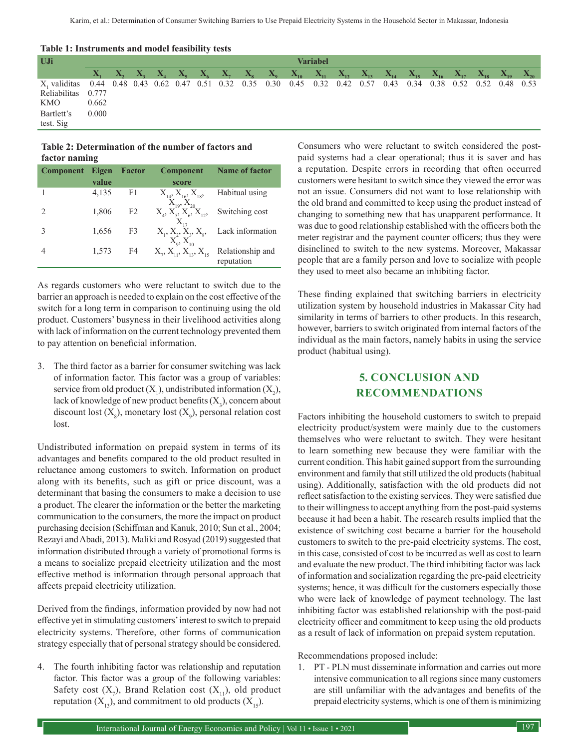| <b>EXAMPLE 1. INSURGEREY SERVICE IN THE EXAMPLE IS A PROPERTY LCSUS</b>                                          |                 |  |  |  |  |  |  |  |  |                                                                                                                                                          |  |  |  |  |  |
|------------------------------------------------------------------------------------------------------------------|-----------------|--|--|--|--|--|--|--|--|----------------------------------------------------------------------------------------------------------------------------------------------------------|--|--|--|--|--|
| UJi                                                                                                              | <b>Variabel</b> |  |  |  |  |  |  |  |  |                                                                                                                                                          |  |  |  |  |  |
|                                                                                                                  |                 |  |  |  |  |  |  |  |  | $X_1 = X_2 = X_3 = X_4 = X_5 = X_6 = X_7 = X_8 = X_9 = X_{10} = X_{11} = X_{12} = X_{13} = X_{14} = X_{15} = X_{16} = X_{17} = X_{18} = X_{19} = X_{20}$ |  |  |  |  |  |
| X, validitas 0.44 0.48 0.43 0.62 0.47 0.51 0.32 0.35 0.30 0.45 0.32 0.42 0.57 0.43 0.34 0.38 0.52 0.52 0.48 0.53 |                 |  |  |  |  |  |  |  |  |                                                                                                                                                          |  |  |  |  |  |
| Reliabilitas 0.777                                                                                               |                 |  |  |  |  |  |  |  |  |                                                                                                                                                          |  |  |  |  |  |
| KMO                                                                                                              | 0.662           |  |  |  |  |  |  |  |  |                                                                                                                                                          |  |  |  |  |  |
| Bartlett's                                                                                                       | 0.000           |  |  |  |  |  |  |  |  |                                                                                                                                                          |  |  |  |  |  |
| test. Sig                                                                                                        |                 |  |  |  |  |  |  |  |  |                                                                                                                                                          |  |  |  |  |  |

### **Table 1: Instruments and model feasibility tests**

#### **Table 2: Determination of the number of factors and factor naming**

| <b>Component</b> | Eigen | <b>Factor</b>  | <b>Component</b>                                      | <b>Name of factor</b>          |
|------------------|-------|----------------|-------------------------------------------------------|--------------------------------|
|                  | value |                | score                                                 |                                |
|                  | 4,135 | F1             | $X_{14}$ , $X_{16}$ , $X_{18}$<br>$X_{10}$ , $X_{20}$ | Habitual using                 |
|                  | 1,806 | F <sub>2</sub> | $X_4, X_5, X_6, X_{12},$                              | Switching cost                 |
|                  | 1,656 | F3             | $X_1, X_2, X_3, X_8,$<br>$X_0, X_{10}$                | Lack information               |
|                  | 1,573 | F4             | $X_2, X_{11}, X_{12}, X_{15}$                         | Relationship and<br>reputation |

As regards customers who were reluctant to switch due to the barrier an approach is needed to explain on the cost effective of the switch for a long term in comparison to continuing using the old product. Customers' busyness in their livelihood activities along with lack of information on the current technology prevented them to pay attention on beneficial information.

3. The third factor as a barrier for consumer switching was lack of information factor. This factor was a group of variables: service from old product  $(X_1)$ , undistributed information  $(X_2)$ , lack of knowledge of new product benefits  $(\mathrm{X}_{\mathfrak{z}}),$  concern about discount lost  $(X_g)$ , monetary lost  $(X_g)$ , personal relation cost lost.

Undistributed information on prepaid system in terms of its advantages and benefits compared to the old product resulted in reluctance among customers to switch. Information on product along with its benefits, such as gift or price discount, was a determinant that basing the consumers to make a decision to use a product. The clearer the information or the better the marketing communication to the consumers, the more the impact on product purchasing decision (Schiffman and Kanuk, 2010; Sun et al., 2004; Rezayi and Abadi, 2013). Maliki and Rosyad (2019) suggested that information distributed through a variety of promotional forms is a means to socialize prepaid electricity utilization and the most effective method is information through personal approach that affects prepaid electricity utilization.

Derived from the findings, information provided by now had not effective yet in stimulating customers' interest to switch to prepaid electricity systems. Therefore, other forms of communication strategy especially that of personal strategy should be considered.

4. The fourth inhibiting factor was relationship and reputation factor. This factor was a group of the following variables: Safety cost  $(X_7)$ , Brand Relation cost  $(X_{11})$ , old product reputation  $(X_{13})$ , and commitment to old products  $(X_{15})$ .

Consumers who were reluctant to switch considered the postpaid systems had a clear operational; thus it is saver and has a reputation. Despite errors in recording that often occurred customers were hesitant to switch since they viewed the error was not an issue. Consumers did not want to lose relationship with the old brand and committed to keep using the product instead of changing to something new that has unapparent performance. It was due to good relationship established with the officers both the meter registrar and the payment counter officers; thus they were disinclined to switch to the new systems. Moreover, Makassar people that are a family person and love to socialize with people they used to meet also became an inhibiting factor.

These finding explained that switching barriers in electricity utilization system by household industries in Makassar City had similarity in terms of barriers to other products. In this research, however, barriers to switch originated from internal factors of the individual as the main factors, namely habits in using the service product (habitual using).

# **5. CONCLUSION AND RECOMMENDATIONS**

Factors inhibiting the household customers to switch to prepaid electricity product/system were mainly due to the customers themselves who were reluctant to switch. They were hesitant to learn something new because they were familiar with the current condition. This habit gained support from the surrounding environment and family that still utilized the old products (habitual using). Additionally, satisfaction with the old products did not reflect satisfaction to the existing services. They were satisfied due to their willingness to accept anything from the post-paid systems because it had been a habit. The research results implied that the existence of switching cost became a barrier for the household customers to switch to the pre-paid electricity systems. The cost, in this case, consisted of cost to be incurred as well as cost to learn and evaluate the new product. The third inhibiting factor was lack of information and socialization regarding the pre-paid electricity systems; hence, it was difficult for the customers especially those who were lack of knowledge of payment technology. The last inhibiting factor was established relationship with the post-paid electricity officer and commitment to keep using the old products as a result of lack of information on prepaid system reputation.

Recommendations proposed include:

1. PT - PLN must disseminate information and carries out more intensive communication to all regions since many customers are still unfamiliar with the advantages and benefits of the prepaid electricity systems, which is one of them is minimizing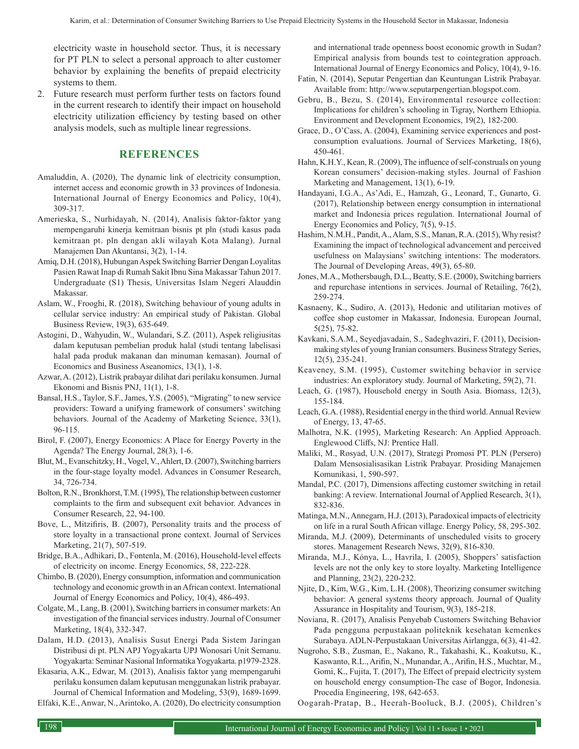electricity waste in household sector. Thus, it is necessary for PT PLN to select a personal approach to alter customer behavior by explaining the benefits of prepaid electricity systems to them.

2. Future research must perform further tests on factors found in the current research to identify their impact on household electricity utilization efficiency by testing based on other analysis models, such as multiple linear regressions.

# **REFERENCES**

- Amaluddin, A. (2020), The dynamic link of electricity consumption, internet access and economic growth in 33 provinces of Indonesia. International Journal of Energy Economics and Policy, 10(4), 309-317.
- Amerieska, S., Nurhidayah, N. (2014), Analisis faktor-faktor yang mempengaruhi kinerja kemitraan bisnis pt pln (studi kasus pada kemitraan pt. pln dengan akli wilayah Kota Malang). Jurnal Manajemen Dan Akuntansi, 3(2), 1-14.
- Amiq, D.H. (2018), Hubungan Aspek Switching Barrier Dengan Loyalitas Pasien Rawat Inap di Rumah Sakit Ibnu Sina Makassar Tahun 2017. Undergraduate (S1) Thesis, Universitas Islam Negeri Alauddin Makassar.
- Aslam, W., Frooghi, R. (2018), Switching behaviour of young adults in cellular service industry: An empirical study of Pakistan. Global Business Review, 19(3), 635-649.
- Astogini, D., Wahyudin, W., Wulandari, S.Z. (2011), Aspek religiusitas dalam keputusan pembelian produk halal (studi tentang labelisasi halal pada produk makanan dan minuman kemasan). Journal of Economics and Business Aseanomics, 13(1), 1-8.
- Azwar, A. (2012), Listrik prabayar dilihat dari perilaku konsumen. Jurnal Ekonomi and Bisnis PNJ, 11(1), 1-8.
- Bansal, H.S., Taylor, S.F., James, Y.S. (2005), "Migrating" to new service providers: Toward a unifying framework of consumers' switching behaviors. Journal of the Academy of Marketing Science, 33(1), 96-115.
- Birol, F. (2007), Energy Economics: A Place for Energy Poverty in the Agenda? The Energy Journal, 28(3), 1-6.
- Blut, M., Evanschitzky, H., Vogel, V., Ahlert, D. (2007), Switching barriers in the four-stage loyalty model. Advances in Consumer Research, 34, 726-734.
- Bolton, R.N., Bronkhorst, T.M. (1995), The relationship between customer complaints to the firm and subsequent exit behavior. Advances in Consumer Research, 22, 94-100.
- Bove, L., Mitzifiris, B. (2007), Personality traits and the process of store loyalty in a transactional prone context. Journal of Services Marketing, 21(7), 507-519.
- Bridge, B.A., Adhikari, D., Fontenla, M. (2016), Household-level effects of electricity on income. Energy Economics, 58, 222-228.
- Chimbo, B. (2020), Energy consumption, information and communication technology and economic growth in an African context. International Journal of Energy Economics and Policy, 10(4), 486-493.
- Colgate, M., Lang, B. (2001), Switching barriers in consumer markets: An investigation of the financial services industry. Journal of Consumer Marketing, 18(4), 332-347.
- Dalam, H.D. (2013), Analisis Susut Energi Pada Sistem Jaringan Distribusi di pt. PLN APJ Yogyakarta UPJ Wonosari Unit Semanu. Yogyakarta: Seminar Nasional Informatika Yogyakarta. p1979-2328.

Ekasaria, A.K., Edwar, M. (2013), Analisis faktor yang mempengaruhi perilaku konsumen dalam keputusan menggunakan listrik prabayar. Journal of Chemical Information and Modeling, 53(9), 1689-1699. Elfaki, K.E., Anwar, N., Arintoko, A. (2020), Do electricity consumption and international trade openness boost economic growth in Sudan? Empirical analysis from bounds test to cointegration approach. International Journal of Energy Economics and Policy, 10(4), 9-16.

- Fatin, N. (2014), Seputar Pengertian dan Keuntungan Listrik Prabayar. Available from: http://www.seputarpengertian.blogspot.com.
- Gebru, B., Bezu, S. (2014), Environmental resource collection: Implications for children's schooling in Tigray, Northern Ethiopia. Environment and Development Economics, 19(2), 182-200.
- Grace, D., O'Cass, A. (2004), Examining service experiences and postconsumption evaluations. Journal of Services Marketing, 18(6), 450-461.
- Hahn, K.H.Y., Kean, R. (2009), The influence of self-construals on young Korean consumers' decision-making styles. Journal of Fashion Marketing and Management, 13(1), 6-19.
- Handayani, I.G.A., As'Adi, E., Hamzah, G., Leonard, T., Gunarto, G. (2017), Relationship between energy consumption in international market and Indonesia prices regulation. International Journal of Energy Economics and Policy, 7(5), 9-15.
- Hashim, N.M.H., Pandit, A., Alam, S.S., Manan, R.A. (2015), Why resist? Examining the impact of technological advancement and perceived usefulness on Malaysians' switching intentions: The moderators. The Journal of Developing Areas, 49(3), 65-80.
- Jones, M.A., Mothersbaugh, D.L., Beatty, S.E. (2000), Switching barriers and repurchase intentions in services. Journal of Retailing, 76(2), 259-274.
- Kasnaeny, K., Sudiro, A. (2013), Hedonic and utilitarian motives of coffee shop customer in Makassar, Indonesia. European Journal, 5(25), 75-82.
- Kavkani, S.A.M., Seyedjavadain, S., Sadeghvaziri, F. (2011), Decisionmaking styles of young Iranian consumers. Business Strategy Series, 12(5), 235-241.
- Keaveney, S.M. (1995), Customer switching behavior in service industries: An exploratory study. Journal of Marketing, 59(2), 71.
- Leach, G. (1987), Household energy in South Asia. Biomass, 12(3), 155-184.
- Leach, G.A. (1988), Residential energy in the third world. Annual Review of Energy, 13, 47-65.
- Malhotra, N.K. (1995), Marketing Research: An Applied Approach. Englewood Cliffs, NJ: Prentice Hall.
- Maliki, M., Rosyad, U.N. (2017), Strategi Promosi PT. PLN (Persero) Dalam Mensosialisasikan Listrik Prabayar. Prosiding Manajemen Komunikasi, 1, 590-597.
- Mandal, P.C. (2017), Dimensions affecting customer switching in retail banking: A review. International Journal of Applied Research, 3(1), 832-836.
- Matinga, M.N., Annegarn, H.J. (2013), Paradoxical impacts of electricity on life in a rural South African village. Energy Policy, 58, 295-302.
- Miranda, M.J. (2009), Determinants of unscheduled visits to grocery stores. Management Research News, 32(9), 816-830.
- Miranda, M.J., Kónya, L., Havrila, I. (2005), Shoppers' satisfaction levels are not the only key to store loyalty. Marketing Intelligence and Planning, 23(2), 220-232.
- Njite, D., Kim, W.G., Kim, L.H. (2008), Theorizing consumer switching behavior: A general systems theory approach. Journal of Quality Assurance in Hospitality and Tourism, 9(3), 185-218.
- Noviana, R. (2017), Analisis Penyebab Customers Switching Behavior Pada pengguna perpustakaan politeknik kesehatan kemenkes Surabaya. ADLN-Perpustakaan Universitas Airlangga, 6(3), 41-42.
- Nugroho, S.B., Zusman, E., Nakano, R., Takahashi, K., Koakutsu, K., Kaswanto, R.L., Arifin, N., Munandar, A., Arifin, H.S., Muchtar, M., Gomi, K., Fujita, T. (2017), The Effect of prepaid electricity system on household energy consumption-The case of Bogor, Indonesia. Procedia Engineering, 198, 642-653.

Oogarah-Pratap, B., Heerah-Booluck, B.J. (2005), Children's